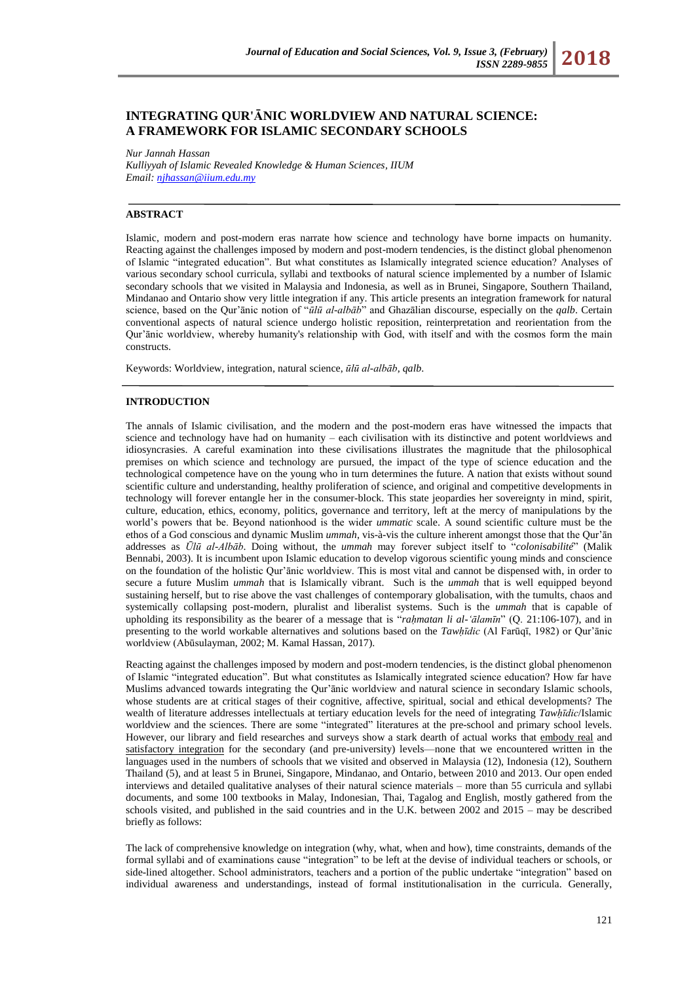# **INTEGRATING QUR'ĀNIC WORLDVIEW AND NATURAL SCIENCE: A FRAMEWORK FOR ISLAMIC SECONDARY SCHOOLS**

*Nur Jannah Hassan*

*Kulliyyah of Islamic Revealed Knowledge & Human Sciences, IIUM Email[: njhassan@iium.edu.my](mailto:njhassan@iium.edu.my)*

## **ABSTRACT**

Islamic, modern and post-modern eras narrate how science and technology have borne impacts on humanity. Reacting against the challenges imposed by modern and post-modern tendencies, is the distinct global phenomenon of Islamic "integrated education". But what constitutes as Islamically integrated science education? Analyses of various secondary school curricula, syllabi and textbooks of natural science implemented by a number of Islamic secondary schools that we visited in Malaysia and Indonesia, as well as in Brunei, Singapore, Southern Thailand, Mindanao and Ontario show very little integration if any. This article presents an integration framework for natural science, based on the Qur'ānic notion of "ūlū al-albāb" and Ghazālian discourse, especially on the *qalb*. Certain conventional aspects of natural science undergo holistic reposition, reinterpretation and reorientation from the Qur'ānic worldview, whereby humanity's relationship with God, with itself and with the cosmos form the main constructs.

Keywords: Worldview, integration, natural science, *ūlū al-albāb*, *qalb*.

### **INTRODUCTION**

The annals of Islamic civilisation, and the modern and the post-modern eras have witnessed the impacts that science and technology have had on humanity – each civilisation with its distinctive and potent worldviews and idiosyncrasies. A careful examination into these civilisations illustrates the magnitude that the philosophical premises on which science and technology are pursued, the impact of the type of science education and the technological competence have on the young who in turn determines the future. A nation that exists without sound scientific culture and understanding, healthy proliferation of science, and original and competitive developments in technology will forever entangle her in the consumer-block. This state jeopardies her sovereignty in mind, spirit, culture, education, ethics, economy, politics, governance and territory, left at the mercy of manipulations by the world's powers that be. Beyond nationhood is the wider *ummatic* scale. A sound scientific culture must be the ethos of a God conscious and dynamic Muslim *ummah*, vis-à-vis the culture inherent amongst those that the Qur'ān addresses as *Ūlū al-Albāb*. Doing without, the *ummah* may forever subject itself to "colonisabilité" (Malik Bennabi, 2003). It is incumbent upon Islamic education to develop vigorous scientific young minds and conscience on the foundation of the holistic Qur'ānic worldview. This is most vital and cannot be dispensed with, in order to secure a future Muslim *ummah* that is Islamically vibrant. Such is the *ummah* that is well equipped beyond sustaining herself, but to rise above the vast challenges of contemporary globalisation, with the tumults, chaos and systemically collapsing post-modern, pluralist and liberalist systems. Such is the *ummah* that is capable of upholding its responsibility as the bearer of a message that is "*rahmatan li al-'ālamīn*" (Q. 21:106-107), and in presenting to the world workable alternatives and solutions based on the *Tawḥīdic* (Al Farūqī, 1982) or Qur'ānic worldview (Abūsulayman, 2002; M. Kamal Hassan, 2017).

Reacting against the challenges imposed by modern and post-modern tendencies, is the distinct global phenomenon of Islamic "integrated education". But what constitutes as Islamically integrated science education? How far have Muslims advanced towards integrating the Qur'ānic worldview and natural science in secondary Islamic schools, whose students are at critical stages of their cognitive, affective, spiritual, social and ethical developments? The wealth of literature addresses intellectuals at tertiary education levels for the need of integrating *Tawhīdic*/Islamic worldview and the sciences. There are some "integrated" literatures at the pre-school and primary school levels. However, our library and field researches and surveys show a stark dearth of actual works that embody real and satisfactory integration for the secondary (and pre-university) levels—none that we encountered written in the languages used in the numbers of schools that we visited and observed in Malaysia (12), Indonesia (12), Southern Thailand (5), and at least 5 in Brunei, Singapore, Mindanao, and Ontario, between 2010 and 2013. Our open ended interviews and detailed qualitative analyses of their natural science materials – more than 55 curricula and syllabi documents, and some 100 textbooks in Malay, Indonesian, Thai, Tagalog and English, mostly gathered from the schools visited, and published in the said countries and in the U.K. between 2002 and 2015 – may be described briefly as follows:

The lack of comprehensive knowledge on integration (why, what, when and how), time constraints, demands of the formal syllabi and of examinations cause "integration" to be left at the devise of individual teachers or schools, or side-lined altogether. School administrators, teachers and a portion of the public undertake "integration" based on individual awareness and understandings, instead of formal institutionalisation in the curricula. Generally,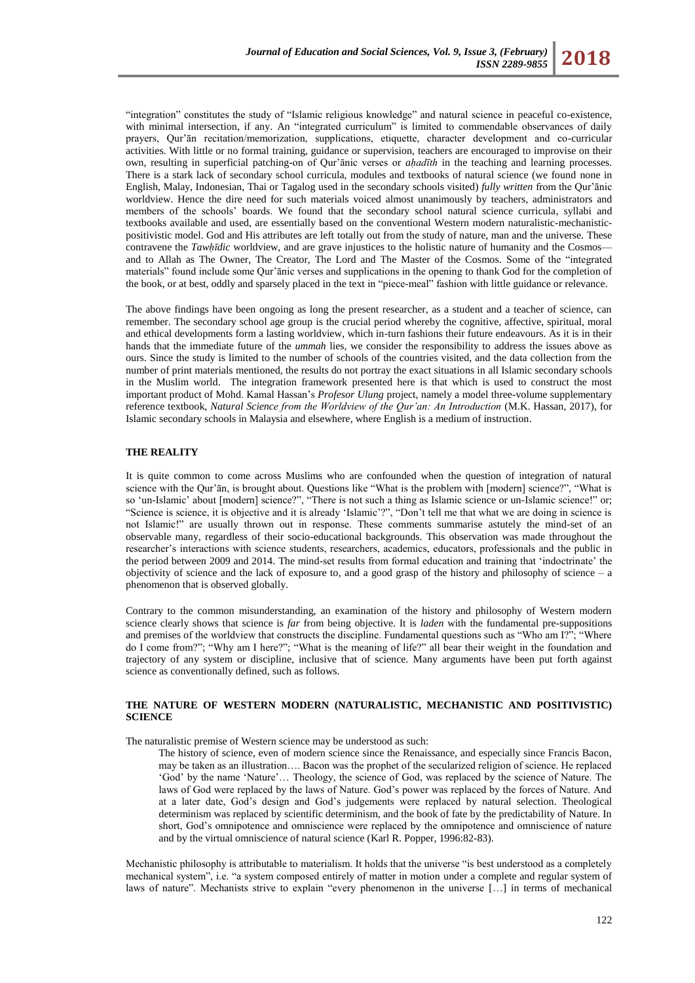"integration" constitutes the study of "Islamic religious knowledge" and natural science in peaceful co-existence, with minimal intersection, if any. An "integrated curriculum" is limited to commendable observances of daily prayers, Qur'ān recitation/memorization, supplications, etiquette, character development and co-curricular activities. With little or no formal training, guidance or supervision, teachers are encouraged to improvise on their own, resulting in superficial patching-on of Qur'ānic verses or *aḥadīth* in the teaching and learning processes*.* There is a stark lack of secondary school curricula, modules and textbooks of natural science (we found none in English, Malay, Indonesian, Thai or Tagalog used in the secondary schools visited) *fully written* from the Qur'ānic worldview. Hence the dire need for such materials voiced almost unanimously by teachers, administrators and members of the schools' boards. We found that the secondary school natural science curricula, syllabi and textbooks available and used, are essentially based on the conventional Western modern naturalistic-mechanisticpositivistic model. God and His attributes are left totally out from the study of nature, man and the universe. These contravene the *Tawhīdic* worldview, and are grave injustices to the holistic nature of humanity and the Cosmos and to Allah as The Owner, The Creator, The Lord and The Master of the Cosmos. Some of the "integrated materials" found include some Qur'ānic verses and supplications in the opening to thank God for the completion of the book, or at best, oddly and sparsely placed in the text in "piece-meal" fashion with little guidance or relevance.

The above findings have been ongoing as long the present researcher, as a student and a teacher of science, can remember. The secondary school age group is the crucial period whereby the cognitive, affective, spiritual, moral and ethical developments form a lasting worldview, which in-turn fashions their future endeavours. As it is in their hands that the immediate future of the *ummah* lies, we consider the responsibility to address the issues above as ours. Since the study is limited to the number of schools of the countries visited, and the data collection from the number of print materials mentioned, the results do not portray the exact situations in all Islamic secondary schools in the Muslim world. The integration framework presented here is that which is used to construct the most important product of Mohd. Kamal Hassan's *Profesor Ulung* project, namely a model three-volume supplementary reference textbook, *Natural Science from the Worldview of the Qur"an: An Introduction* (M.K. Hassan, 2017)*,* for Islamic secondary schools in Malaysia and elsewhere, where English is a medium of instruction.

### **THE REALITY**

It is quite common to come across Muslims who are confounded when the question of integration of natural science with the Qur'ān, is brought about. Questions like "What is the problem with [modern] science?", "What is so 'un-Islamic' about [modern] science?", "There is not such a thing as Islamic science or un-Islamic science!" or; "Science is science, it is objective and it is already 'Islamic'?", "Don't tell me that what we are doing in science is not Islamic!‖ are usually thrown out in response. These comments summarise astutely the mind-set of an observable many, regardless of their socio-educational backgrounds. This observation was made throughout the researcher's interactions with science students, researchers, academics, educators, professionals and the public in the period between 2009 and 2014. The mind-set results from formal education and training that 'indoctrinate' the objectivity of science and the lack of exposure to, and a good grasp of the history and philosophy of science – a phenomenon that is observed globally.

Contrary to the common misunderstanding, an examination of the history and philosophy of Western modern science clearly shows that science is *far* from being objective. It is *laden* with the fundamental pre-suppositions and premises of the worldview that constructs the discipline. Fundamental questions such as "Who am I?"; "Where do I come from?"; "Why am I here?"; "What is the meaning of life?" all bear their weight in the foundation and trajectory of any system or discipline, inclusive that of science. Many arguments have been put forth against science as conventionally defined, such as follows.

### **THE NATURE OF WESTERN MODERN (NATURALISTIC, MECHANISTIC AND POSITIVISTIC) SCIENCE**

The naturalistic premise of Western science may be understood as such:

The history of science, even of modern science since the Renaissance, and especially since Francis Bacon, may be taken as an illustration…. Bacon was the prophet of the secularized religion of science. He replaced ‗God' by the name ‗Nature'… Theology, the science of God, was replaced by the science of Nature. The laws of God were replaced by the laws of Nature. God's power was replaced by the forces of Nature. And at a later date, God's design and God's judgements were replaced by natural selection. Theological determinism was replaced by scientific determinism, and the book of fate by the predictability of Nature. In short, God's omnipotence and omniscience were replaced by the omnipotence and omniscience of nature and by the virtual omniscience of natural science (Karl R. Popper, 1996:82-83).

Mechanistic philosophy is attributable to materialism. It holds that the universe "is best understood as a completely mechanical system", i.e. "a system composed entirely of matter in motion under a complete and regular system of laws of nature". Mechanists strive to explain "every phenomenon in the universe […] in terms of mechanical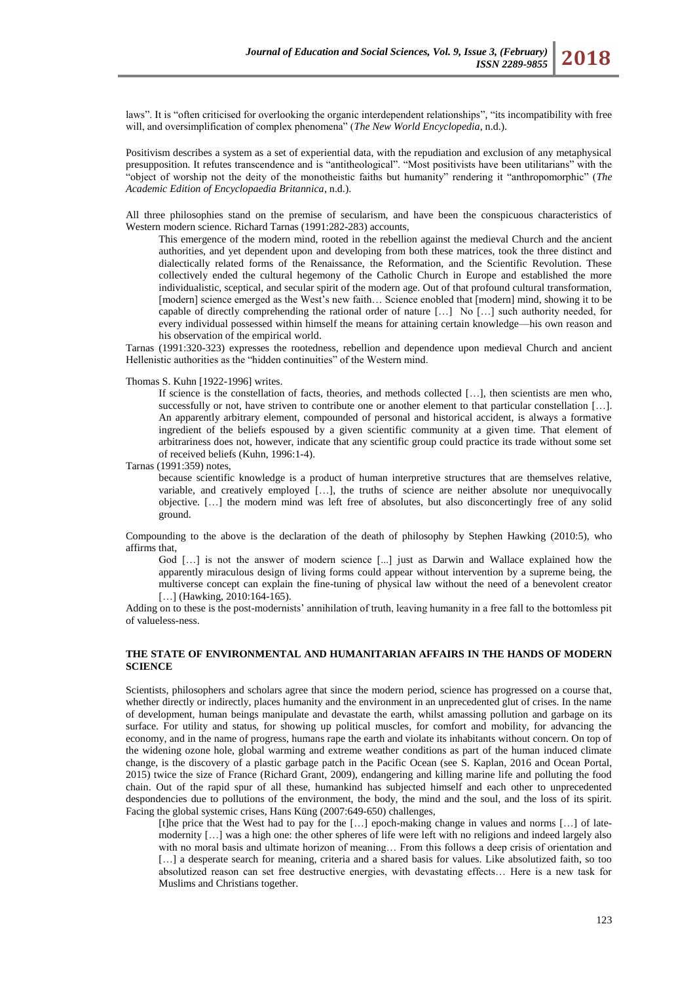laws". It is "often criticised for overlooking the organic interdependent relationships", "its incompatibility with free will, and oversimplification of complex phenomena" (*The New World Encyclopedia*, n.d.).

Positivism describes a system as a set of experiential data, with the repudiation and exclusion of any metaphysical presupposition. It refutes transcendence and is "antitheological". "Most positivists have been utilitarians" with the "object of worship not the deity of the monotheistic faiths but humanity" rendering it "anthropomorphic" (*The Academic Edition of Encyclopaedia Britannica*, n.d.).

All three philosophies stand on the premise of secularism, and have been the conspicuous characteristics of Western modern science. Richard Tarnas (1991:282-283) accounts,

This emergence of the modern mind, rooted in the rebellion against the medieval Church and the ancient authorities, and yet dependent upon and developing from both these matrices, took the three distinct and dialectically related forms of the Renaissance, the Reformation, and the Scientific Revolution. These collectively ended the cultural hegemony of the Catholic Church in Europe and established the more individualistic, sceptical, and secular spirit of the modern age. Out of that profound cultural transformation, [modern] science emerged as the West's new faith… Science enobled that [modern] mind, showing it to be capable of directly comprehending the rational order of nature  $[\dots]$  No  $[\dots]$  such authority needed, for every individual possessed within himself the means for attaining certain knowledge—his own reason and his observation of the empirical world.

Tarnas (1991:320-323) expresses the rootedness, rebellion and dependence upon medieval Church and ancient Hellenistic authorities as the "hidden continuities" of the Western mind.

Thomas S. Kuhn [1922-1996] writes.

If science is the constellation of facts, theories, and methods collected […], then scientists are men who, successfully or not, have striven to contribute one or another element to that particular constellation […]. An apparently arbitrary element, compounded of personal and historical accident, is always a formative ingredient of the beliefs espoused by a given scientific community at a given time. That element of arbitrariness does not, however, indicate that any scientific group could practice its trade without some set of received beliefs (Kuhn, 1996:1-4).

Tarnas (1991:359) notes,

because scientific knowledge is a product of human interpretive structures that are themselves relative, variable, and creatively employed […], the truths of science are neither absolute nor unequivocally objective. […] the modern mind was left free of absolutes, but also disconcertingly free of any solid ground.

Compounding to the above is the declaration of the death of philosophy by Stephen Hawking (2010:5), who affirms that,

God [...] is not the answer of modern science [...] just as Darwin and Wallace explained how the apparently miraculous design of living forms could appear without intervention by a supreme being, the multiverse concept can explain the fine-tuning of physical law without the need of a benevolent creator [...] (Hawking, 2010:164-165).

Adding on to these is the post-modernists' annihilation of truth, leaving humanity in a free fall to the bottomless pit of valueless-ness.

## **THE STATE OF ENVIRONMENTAL AND HUMANITARIAN AFFAIRS IN THE HANDS OF MODERN SCIENCE**

Scientists, philosophers and scholars agree that since the modern period, science has progressed on a course that, whether directly or indirectly, places humanity and the environment in an unprecedented glut of crises. In the name of development, human beings manipulate and devastate the earth, whilst amassing pollution and garbage on its surface. For utility and status, for showing up political muscles, for comfort and mobility, for advancing the economy, and in the name of progress, humans rape the earth and violate its inhabitants without concern. On top of the widening ozone hole, global warming and extreme weather conditions as part of the human induced climate change, is the discovery of a plastic garbage patch in the Pacific Ocean (see S. Kaplan, 2016 and Ocean Portal, 2015) twice the size of France (Richard Grant, 2009), endangering and killing marine life and polluting the food chain. Out of the rapid spur of all these, humankind has subjected himself and each other to unprecedented despondencies due to pollutions of the environment, the body, the mind and the soul, and the loss of its spirit. Facing the global systemic crises, Hans Küng (2007:649-650) challenges,

[t]he price that the West had to pay for the [...] epoch-making change in values and norms [...] of latemodernity […] was a high one: the other spheres of life were left with no religions and indeed largely also with no moral basis and ultimate horizon of meaning... From this follows a deep crisis of orientation and [...] a desperate search for meaning, criteria and a shared basis for values. Like absolutized faith, so too absolutized reason can set free destructive energies, with devastating effects… Here is a new task for Muslims and Christians together.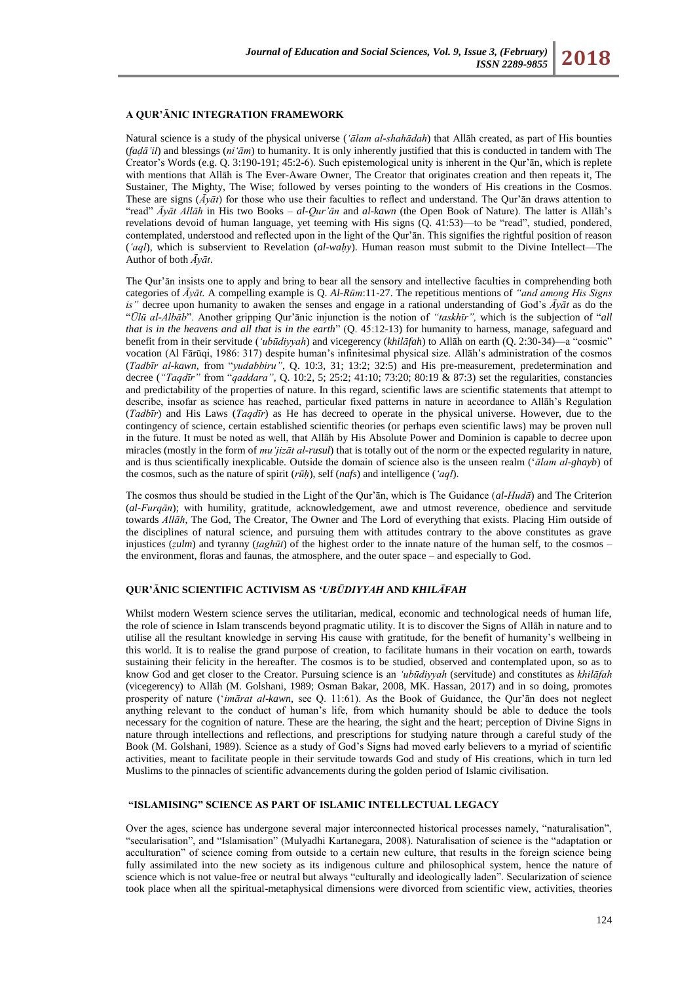### **A QUR'ĀNIC INTEGRATION FRAMEWORK**

Natural science is a study of the physical universe (*"ālam al-shahādah*) that Allāh created, as part of His bounties (*faḍā"il*) and blessings (*ni"ām*) to humanity. It is only inherently justified that this is conducted in tandem with The Creator's Words (e.g. Q. 3:190-191; 45:2-6). Such epistemological unity is inherent in the Qur'ān, which is replete with mentions that Allāh is The Ever-Aware Owner, The Creator that originates creation and then repeats it, The Sustainer, The Mighty, The Wise; followed by verses pointing to the wonders of His creations in the Cosmos. These are signs  $(\bar{A}y\bar{a}t)$  for those who use their faculties to reflect and understand. The Qur'an draws attention to ―read‖ *Āyāt Allāh* in His two Books – *al-Qur"ān* and *al-kawn* (the Open Book of Nature). The latter is Allāh's revelations devoid of human language, yet teeming with His signs (Q. 41:53)—to be "read", studied, pondered, contemplated, understood and reflected upon in the light of the Qur'ān. This signifies the rightful position of reason (*"aql*), which is subservient to Revelation (*al-waḥy*). Human reason must submit to the Divine Intellect—The Author of both *Āyāt*.

The Qur'ān insists one to apply and bring to bear all the sensory and intellective faculties in comprehending both categories of *Āyāt.* A compelling example is Q. *Al-Rūm*:11-27. The repetitious mentions of *"and among His Signs is"* decree upon humanity to awaken the senses and engage in a rational understanding of God's *Āyāt* as do the ―*Ūlū al-Albāb*‖. Another gripping Qur'ānic injunction is the notion of *"taskhīr",* which is the subjection of ―*all that is in the heavens and all that is in the earth*<sup>n</sup> (Q. 45:12-13) for humanity to harness, manage, safeguard and benefit from in their servitude (*'ubūdiyyah*) and vicegerency (*khilāfah*) to Allāh on earth (O. 2:30-34)—a "cosmic" vocation (Al Fārūqi, 1986: 317) despite human's infinitesimal physical size. Allāh's administration of the cosmos (*Tadbūr al-kawn*, from "*yudabbiru"*, Q. 10:3, 31; 13:2; 32:5) and His pre-measurement, predetermination and decree (*"Taqdīr"* from "*qaddara"*, Q. 10:2, 5; 25:2; 41:10; 73:20; 80:19 & 87:3) set the regularities, constancies and predictability of the properties of nature. In this regard, scientific laws are scientific statements that attempt to describe, insofar as science has reached, particular fixed patterns in nature in accordance to Allāh's Regulation (*Tadbīr*) and His Laws (*Taqdīr*) as He has decreed to operate in the physical universe. However, due to the contingency of science, certain established scientific theories (or perhaps even scientific laws) may be proven null in the future. It must be noted as well, that Allāh by His Absolute Power and Dominion is capable to decree upon miracles (mostly in the form of *mu"jizāt al-rusul*) that is totally out of the norm or the expected regularity in nature, and is thus scientifically inexplicable. Outside the domain of science also is the unseen realm (‗*ālam al-ghayb*) of the cosmos, such as the nature of spirit (*rūḥ*), self (*nafs*) and intelligence (*"aql*).

The cosmos thus should be studied in the Light of the Qur'ān, which is The Guidance (*al-Hudā*) and The Criterion (*al-Furqān*); with humility, gratitude, acknowledgement, awe and utmost reverence, obedience and servitude towards *Allāh*, The God, The Creator, The Owner and The Lord of everything that exists. Placing Him outside of the disciplines of natural science, and pursuing them with attitudes contrary to the above constitutes as grave injustices (*ẓulm*) and tyranny (*ṭaghūt*) of the highest order to the innate nature of the human self, to the cosmos – the environment, floras and faunas, the atmosphere, and the outer space – and especially to God.

### **QUR'ᾹNIC SCIENTIFIC ACTIVISM AS** *'UBŪDIYYAH* **AND** *KHILᾹFAH*

Whilst modern Western science serves the utilitarian, medical, economic and technological needs of human life, the role of science in Islam transcends beyond pragmatic utility. It is to discover the Signs of Allāh in nature and to utilise all the resultant knowledge in serving His cause with gratitude, for the benefit of humanity's wellbeing in this world. It is to realise the grand purpose of creation, to facilitate humans in their vocation on earth, towards sustaining their felicity in the hereafter. The cosmos is to be studied, observed and contemplated upon, so as to know God and get closer to the Creator. Pursuing science is an *"ubūdiyyah* (servitude) and constitutes as *khilāfah*  (vicegerency) to Allāh (M. Golshani, 1989; Osman Bakar, 2008, MK. Hassan, 2017) and in so doing, promotes prosperity of nature (‗*imārat al-kawn,* see Q. 11:61). As the Book of Guidance, the Qur'ān does not neglect anything relevant to the conduct of human's life, from which humanity should be able to deduce the tools necessary for the cognition of nature. These are the hearing, the sight and the heart; perception of Divine Signs in nature through intellections and reflections, and prescriptions for studying nature through a careful study of the Book (M. Golshani, 1989). Science as a study of God's Signs had moved early believers to a myriad of scientific activities, meant to facilitate people in their servitude towards God and study of His creations, which in turn led Muslims to the pinnacles of scientific advancements during the golden period of Islamic civilisation.

#### **"ISLAMISING" SCIENCE AS PART OF ISLAMIC INTELLECTUAL LEGACY**

Over the ages, science has undergone several major interconnected historical processes namely, "naturalisation", ―secularisation‖, and ―Islamisation‖ (Mulyadhi Kartanegara, 2008). Naturalisation of science is the ―adaptation or acculturation" of science coming from outside to a certain new culture, that results in the foreign science being fully assimilated into the new society as its indigenous culture and philosophical system, hence the nature of science which is not value-free or neutral but always "culturally and ideologically laden". Secularization of science took place when all the spiritual-metaphysical dimensions were divorced from scientific view, activities, theories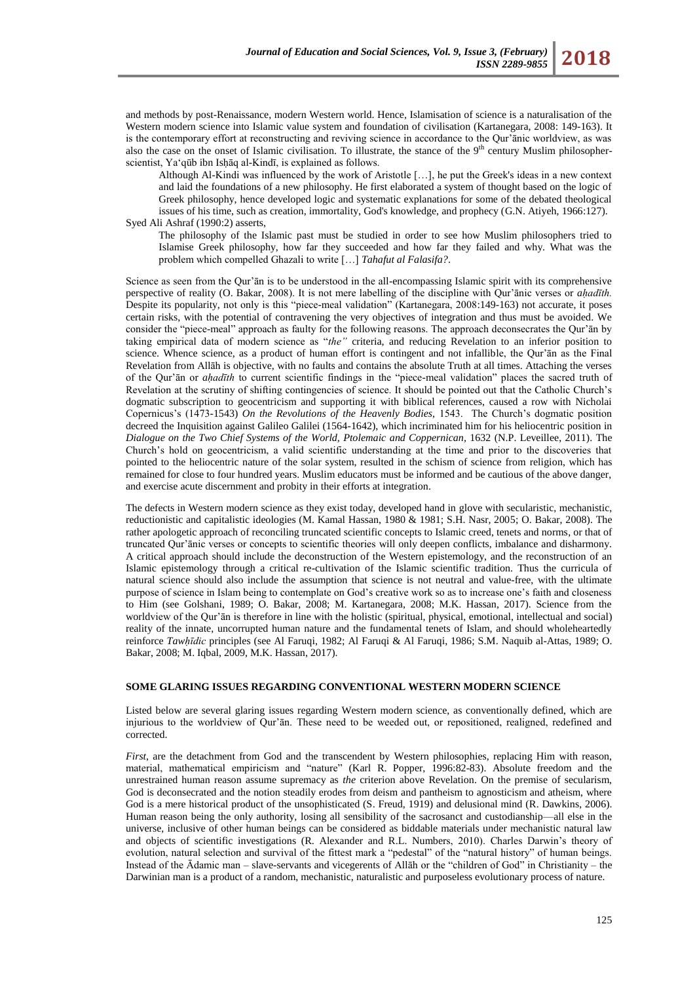and methods by post-Renaissance, modern Western world. Hence, Islamisation of science is a naturalisation of the Western modern science into Islamic value system and foundation of civilisation (Kartanegara, 2008: 149-163). It is the contemporary effort at reconstructing and reviving science in accordance to the Qur'ānic worldview, as was also the case on the onset of Islamic civilisation. To illustrate, the stance of the  $9<sup>th</sup>$  century Muslim philosopherscientist, Yaʻqūb ibn Ishāq al-Kindī, is explained as follows.

Although Al-Kindi was influenced by the work of Aristotle […], he put the Greek's ideas in a new context and laid the foundations of a new philosophy. He first elaborated a system of thought based on the logic of Greek philosophy, hence developed logic and systematic explanations for some of the debated theological issues of his time, such as creation, immortality, God's knowledge, and prophecy (G.N. Atiyeh, 1966:127). Syed Ali Ashraf (1990:2) asserts,

The philosophy of the Islamic past must be studied in order to see how Muslim philosophers tried to Islamise Greek philosophy, how far they succeeded and how far they failed and why. What was the problem which compelled Ghazali to write […] *Tahafut al Falasifa?*.

Science as seen from the Qur'ān is to be understood in the all-encompassing Islamic spirit with its comprehensive perspective of reality (O. Bakar, 2008). It is not mere labelling of the discipline with Qur'ānic verses or *aḥadīth.*  Despite its popularity, not only is this "piece-meal validation" (Kartanegara, 2008:149-163) not accurate, it poses certain risks, with the potential of contravening the very objectives of integration and thus must be avoided. We consider the "piece-meal" approach as faulty for the following reasons. The approach deconsecrates the Qur'ān by taking empirical data of modern science as "the" criteria, and reducing Revelation to an inferior position to science. Whence science, as a product of human effort is contingent and not infallible, the Qur'ān as the Final Revelation from Allāh is objective, with no faults and contains the absolute Truth at all times. Attaching the verses of the Qur'an or *ahadīth* to current scientific findings in the "piece-meal validation" places the sacred truth of Revelation at the scrutiny of shifting contingencies of science. It should be pointed out that the Catholic Church's dogmatic subscription to geocentricism and supporting it with biblical references, caused a row with Nicholai Copernicus's (1473-1543) *On the Revolutions of the Heavenly Bodies,* 1543. The Church's dogmatic position decreed the Inquisition against Galileo Galilei (1564-1642), which incriminated him for his heliocentric position in *Dialogue on the Two Chief Systems of the World, Ptolemaic and Coppernican,* 1632 (N.P. Leveillee, 2011). The Church's hold on geocentricism, a valid scientific understanding at the time and prior to the discoveries that pointed to the heliocentric nature of the solar system, resulted in the schism of science from religion, which has remained for close to four hundred years. Muslim educators must be informed and be cautious of the above danger, and exercise acute discernment and probity in their efforts at integration.

The defects in Western modern science as they exist today, developed hand in glove with secularistic, mechanistic, reductionistic and capitalistic ideologies (M. Kamal Hassan, 1980 & 1981; S.H. Nasr, 2005; O. Bakar, 2008). The rather apologetic approach of reconciling truncated scientific concepts to Islamic creed, tenets and norms, or that of truncated Qur'ānic verses or concepts to scientific theories will only deepen conflicts, imbalance and disharmony. A critical approach should include the deconstruction of the Western epistemology, and the reconstruction of an Islamic epistemology through a critical re-cultivation of the Islamic scientific tradition. Thus the curricula of natural science should also include the assumption that science is not neutral and value-free, with the ultimate purpose of science in Islam being to contemplate on God's creative work so as to increase one's faith and closeness to Him (see Golshani, 1989; O. Bakar, 2008; M. Kartanegara, 2008; M.K. Hassan, 2017). Science from the worldview of the Qur'ān is therefore in line with the holistic (spiritual, physical, emotional, intellectual and social) reality of the innate, uncorrupted human nature and the fundamental tenets of Islam, and should wholeheartedly reinforce *Tawḥīdic* principles (see Al Faruqi, 1982; Al Faruqi & Al Faruqi, 1986; S.M. Naquib al-Attas, 1989; O. Bakar, 2008; M. Iqbal, 2009, M.K. Hassan, 2017).

## **SOME GLARING ISSUES REGARDING CONVENTIONAL WESTERN MODERN SCIENCE**

Listed below are several glaring issues regarding Western modern science, as conventionally defined, which are injurious to the worldview of Qur'ān. These need to be weeded out, or repositioned, realigned, redefined and corrected.

*First*, are the detachment from God and the transcendent by Western philosophies, replacing Him with reason, material, mathematical empiricism and "nature" (Karl R. Popper, 1996:82-83). Absolute freedom and the unrestrained human reason assume supremacy as *the* criterion above Revelation. On the premise of secularism, God is deconsecrated and the notion steadily erodes from deism and pantheism to agnosticism and atheism, where God is a mere historical product of the unsophisticated (S. Freud, 1919) and delusional mind (R. Dawkins, 2006). Human reason being the only authority, losing all sensibility of the sacrosanct and custodianship—all else in the universe, inclusive of other human beings can be considered as biddable materials under mechanistic natural law and objects of scientific investigations (R. Alexander and R.L. Numbers, 2010). Charles Darwin's theory of evolution, natural selection and survival of the fittest mark a "pedestal" of the "natural history" of human beings. Instead of the  $\bar{A}$ damic man – slave-servants and vicegerents of Allāh or the "children of God" in Christianity – the Darwinian man is a product of a random, mechanistic, naturalistic and purposeless evolutionary process of nature.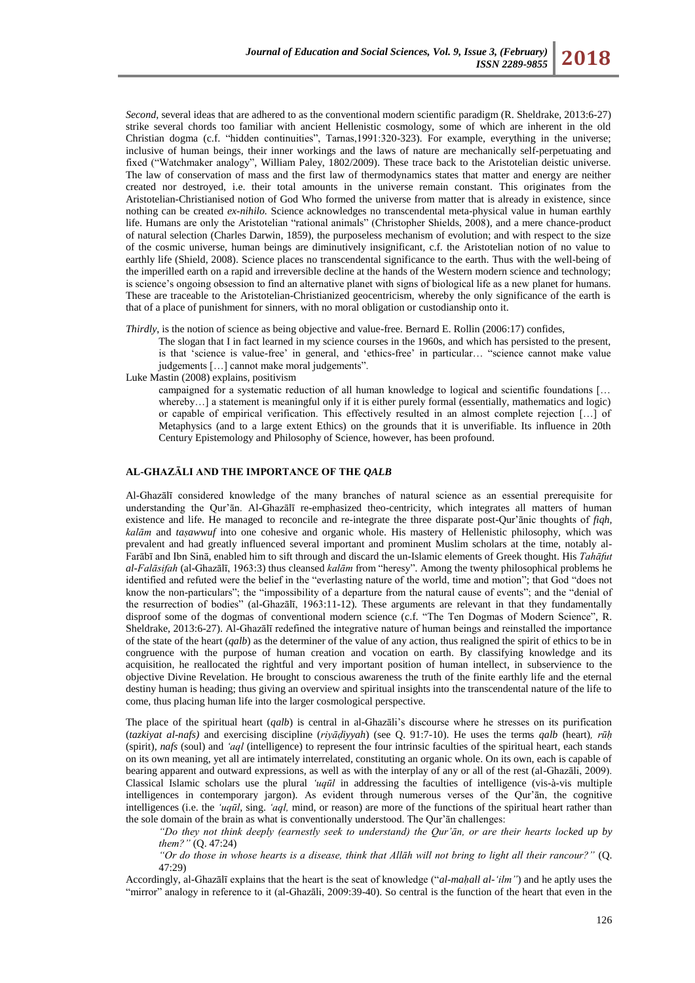*Second*, several ideas that are adhered to as the conventional modern scientific paradigm (R. Sheldrake, 2013:6-27) strike several chords too familiar with ancient Hellenistic cosmology, some of which are inherent in the old Christian dogma (c.f. "hidden continuities", Tarnas,1991:320-323). For example, everything in the universe; inclusive of human beings, their inner workings and the laws of nature are mechanically self-perpetuating and fixed ("Watchmaker analogy", William Paley, 1802/2009). These trace back to the Aristotelian deistic universe. The law of conservation of mass and the first law of thermodynamics states that matter and energy are neither created nor destroyed, i.e. their total amounts in the universe remain constant. This originates from the Aristotelian-Christianised notion of God Who formed the universe from matter that is already in existence, since nothing can be created *ex-nihilo.* Science acknowledges no transcendental meta-physical value in human earthly life. Humans are only the Aristotelian "rational animals" (Christopher Shields, 2008), and a mere chance-product of natural selection (Charles Darwin, 1859), the purposeless mechanism of evolution; and with respect to the size of the cosmic universe, human beings are diminutively insignificant, c.f. the Aristotelian notion of no value to earthly life (Shield, 2008). Science places no transcendental significance to the earth. Thus with the well-being of the imperilled earth on a rapid and irreversible decline at the hands of the Western modern science and technology; is science's ongoing obsession to find an alternative planet with signs of biological life as a new planet for humans. These are traceable to the Aristotelian-Christianized geocentricism, whereby the only significance of the earth is that of a place of punishment for sinners, with no moral obligation or custodianship onto it.

*Thirdly*, is the notion of science as being objective and value-free. Bernard E. Rollin (2006:17) confides,

The slogan that I in fact learned in my science courses in the 1960s, and which has persisted to the present, is that 'science is value-free' in general, and 'ethics-free' in particular… "science cannot make value judgements [...] cannot make moral judgements".

Luke Mastin (2008) explains, positivism

campaigned for a systematic reduction of all human knowledge to logical and scientific foundations [… whereby...] a statement is meaningful only if it is either purely formal (essentially, mathematics and logic) or capable of empirical verification. This effectively resulted in an almost complete rejection […] of Metaphysics (and to a large extent Ethics) on the grounds that it is unverifiable. Its influence in 20th Century Epistemology and Philosophy of Science, however, has been profound.

### **AL-GHAZĀLI AND THE IMPORTANCE OF THE** *QALB*

Al-Ghazālī considered knowledge of the many branches of natural science as an essential prerequisite for understanding the Qur'ān. Al-Ghazālī re-emphasized theo-centricity, which integrates all matters of human existence and life. He managed to reconcile and re-integrate the three disparate post-Qur'ānic thoughts of *fiqh, kalām* and *taṣawwuf* into one cohesive and organic whole. His mastery of Hellenistic philosophy, which was prevalent and had greatly influenced several important and prominent Muslim scholars at the time, notably al-Farābī and Ibn Sinā, enabled him to sift through and discard the un-Islamic elements of Greek thought. His *Tahāfut al-Falāsifah* (al-Ghazālī, 1963:3) thus cleansed *kalām* from ―heresy‖*.* Among the twenty philosophical problems he identified and refuted were the belief in the "everlasting nature of the world, time and motion"; that God "does not know the non-particulars"; the "impossibility of a departure from the natural cause of events"; and the "denial of the resurrection of bodies" (al-Ghazālī, 1963:11-12). These arguments are relevant in that they fundamentally disproof some of the dogmas of conventional modern science (c.f. "The Ten Dogmas of Modern Science", R. Sheldrake, 2013:6-27). Al-Ghazālī redefined the integrative nature of human beings and reinstalled the importance of the state of the heart (*qalb*) as the determiner of the value of any action, thus realigned the spirit of ethics to be in congruence with the purpose of human creation and vocation on earth. By classifying knowledge and its acquisition, he reallocated the rightful and very important position of human intellect, in subservience to the objective Divine Revelation. He brought to conscious awareness the truth of the finite earthly life and the eternal destiny human is heading; thus giving an overview and spiritual insights into the transcendental nature of the life to come, thus placing human life into the larger cosmological perspective.

The place of the spiritual heart (*qalb*) is central in al-Ghazāli's discourse where he stresses on its purification (*tazkiyat al-nafs)* and exercising discipline (*riyāḍiyyah*) (see Q. 91:7-10). He uses the terms *qalb* (heart)*, rūḥ*  (spirit)*, nafs* (soul) and *"aql* (intelligence) to represent the four intrinsic faculties of the spiritual heart, each stands on its own meaning, yet all are intimately interrelated, constituting an organic whole. On its own, each is capable of bearing apparent and outward expressions, as well as with the interplay of any or all of the rest (al-Ghazāli, 2009). Classical Islamic scholars use the plural *"uqūl* in addressing the faculties of intelligence (vis-à-vis multiple intelligences in contemporary jargon). As evident through numerous verses of the Qur'ān, the cognitive intelligences (i.e. the *"uqūl,* sing. *"aql,* mind, or reason) are more of the functions of the spiritual heart rather than the sole domain of the brain as what is conventionally understood. The Qur'ān challenges:

*"Do they not think deeply (earnestly seek to understand) the Qur"ān, or are their hearts locked up by them?"* (Q. 47:24)

*"Or do those in whose hearts is a disease, think that Allāh will not bring to light all their rancour?"* (Q. 47:29)

Accordingly, al-Ghazālī explains that the heart is the seat of knowledge ("al-maḥall al-'ilm") and he aptly uses the "mirror" analogy in reference to it (al-Ghazāli, 2009:39-40). So central is the function of the heart that even in the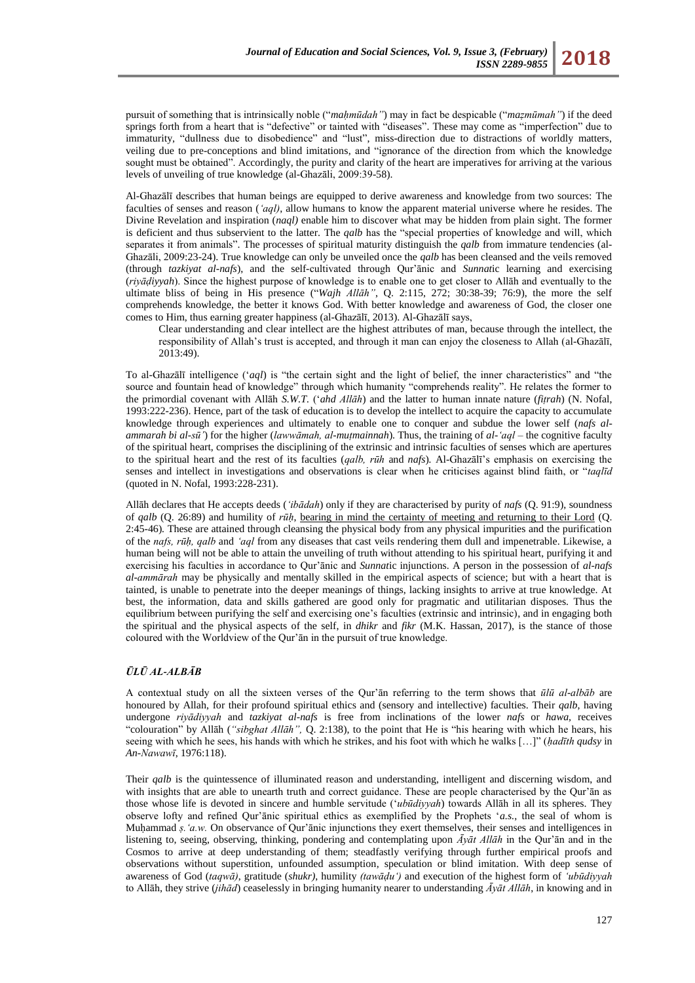pursuit of something that is intrinsically noble ("*mahmūdah"*) may in fact be despicable ("*mazmūmah"*) if the deed springs forth from a heart that is "defective" or tainted with "diseases". These may come as "imperfection" due to immaturity, "dullness due to disobedience" and "lust", miss-direction due to distractions of worldly matters, veiling due to pre-conceptions and blind imitations, and "ignorance of the direction from which the knowledge sought must be obtained". Accordingly, the purity and clarity of the heart are imperatives for arriving at the various levels of unveiling of true knowledge (al-Ghazāli, 2009:39-58).

Al-Ghazālī describes that human beings are equipped to derive awareness and knowledge from two sources: The faculties of senses and reason (*"aql)*, allow humans to know the apparent material universe where he resides. The Divine Revelation and inspiration (*naql)* enable him to discover what may be hidden from plain sight. The former is deficient and thus subservient to the latter. The *qalb* has the "special properties of knowledge and will, which separates it from animals". The processes of spiritual maturity distinguish the *qalb* from immature tendencies (al-Ghazāli, 2009:23-24). True knowledge can only be unveiled once the *qalb* has been cleansed and the veils removed (through *tazkiyat al-nafs*), and the self-cultivated through Qur'ānic and *Sunnat*ic learning and exercising (*riyāḍiyyah*). Since the highest purpose of knowledge is to enable one to get closer to Allāh and eventually to the ultimate bliss of being in His presence ("Wajh *Allāh"*, Q. 2:115, 272; 30:38-39; 76:9), the more the self comprehends knowledge, the better it knows God. With better knowledge and awareness of God, the closer one comes to Him, thus earning greater happiness (al-Ghazālī, 2013). Al-Ghazālī says,

Clear understanding and clear intellect are the highest attributes of man, because through the intellect, the responsibility of Allah's trust is accepted, and through it man can enjoy the closeness to Allah (al-Ghazālī, 2013:49).

To al-Ghazālī intelligence (*aql*) is "the certain sight and the light of belief, the inner characteristics" and "the source and fountain head of knowledge" through which humanity "comprehends reality". He relates the former to the primordial covenant with Allāh *S.W.T.* (‗*ahd Allāh*) and the latter to human innate nature (*fiṭrah*) (N. Nofal, 1993:222-236). Hence, part of the task of education is to develop the intellect to acquire the capacity to accumulate knowledge through experiences and ultimately to enable one to conquer and subdue the lower self (*nafs alammarah bi al-sū"*) for the higher (*lawwāmah, al-muṭmainnah*). Thus, the training of *al-"aql –* the cognitive faculty of the spiritual heart, comprises the disciplining of the extrinsic and intrinsic faculties of senses which are apertures to the spiritual heart and the rest of its faculties (*qalb, rūh* and *nafs*)*.* Al-Ghazālī's emphasis on exercising the senses and intellect in investigations and observations is clear when he criticises against blind faith, or "*taqlīd* (quoted in N. Nofal, 1993:228-231).

Allāh declares that He accepts deeds (*"ibādah*) only if they are characterised by purity of *nafs* (Q. 91:9), soundness of *qalb* (Q. 26:89) and humility of *rūḥ*, bearing in mind the certainty of meeting and returning to their Lord (Q. 2:45-46)*.* These are attained through cleansing the physical body from any physical impurities and the purification of the *nafs, rūḥ, qalb* and *"aql* from any diseases that cast veils rendering them dull and impenetrable. Likewise, a human being will not be able to attain the unveiling of truth without attending to his spiritual heart, purifying it and exercising his faculties in accordance to Qur'ānic and *Sunnat*ic injunctions. A person in the possession of *al-nafs al-ammārah* may be physically and mentally skilled in the empirical aspects of science; but with a heart that is tainted, is unable to penetrate into the deeper meanings of things, lacking insights to arrive at true knowledge. At best, the information, data and skills gathered are good only for pragmatic and utilitarian disposes. Thus the equilibrium between purifying the self and exercising one's faculties (extrinsic and intrinsic), and in engaging both the spiritual and the physical aspects of the self, in *dhikr* and *fikr* (M.K. Hassan, 2017), is the stance of those coloured with the Worldview of the Qur'ān in the pursuit of true knowledge.

## *ŪLŪ AL-ALBĀB*

A contextual study on all the sixteen verses of the Qur'ān referring to the term shows that *ūlū al-albāb* are honoured by Allah, for their profound spiritual ethics and (sensory and intellective) faculties. Their *qalb*, having undergone *riyādiyyah* and *tazkiyat al-nafs* is free from inclinations of the lower *nafs* or *hawa,* receives "colouration" by Allāh ("sibghat Allāh", Q. 2:138), to the point that He is "his hearing with which he hears, his seeing with which he sees, his hands with which he strikes, and his foot with which he walks [...]" (*hadīth qudsy* in *An-Nawawī*, 1976:118).

Their *qalb* is the quintessence of illuminated reason and understanding, intelligent and discerning wisdom, and with insights that are able to unearth truth and correct guidance. These are people characterised by the Qur'ān as those whose life is devoted in sincere and humble servitude (‗*ubūdiyyah*) towards Allāh in all its spheres. They observe lofty and refined Qur'ānic spiritual ethics as exemplified by the Prophets ‗*a.s.*, the seal of whom is Muḥammad *ş. 'a.w.* On observance of Qur'ānic injunctions they exert themselves, their senses and intelligences in listening to, seeing, observing, thinking, pondering and contemplating upon *Ᾱyāt Allāh* in the Qur'ān and in the Cosmos to arrive at deep understanding of them; steadfastly verifying through further empirical proofs and observations without superstition, unfounded assumption, speculation or blind imitation. With deep sense of awareness of God (*taqwā)*, gratitude (*shukr)*, humility *(tawāḍu")* and execution of the highest form of *"ubūdiyyah* to Allāh, they strive (*jihād*) ceaselessly in bringing humanity nearer to understanding *Ᾱyāt Allāh*, in knowing and in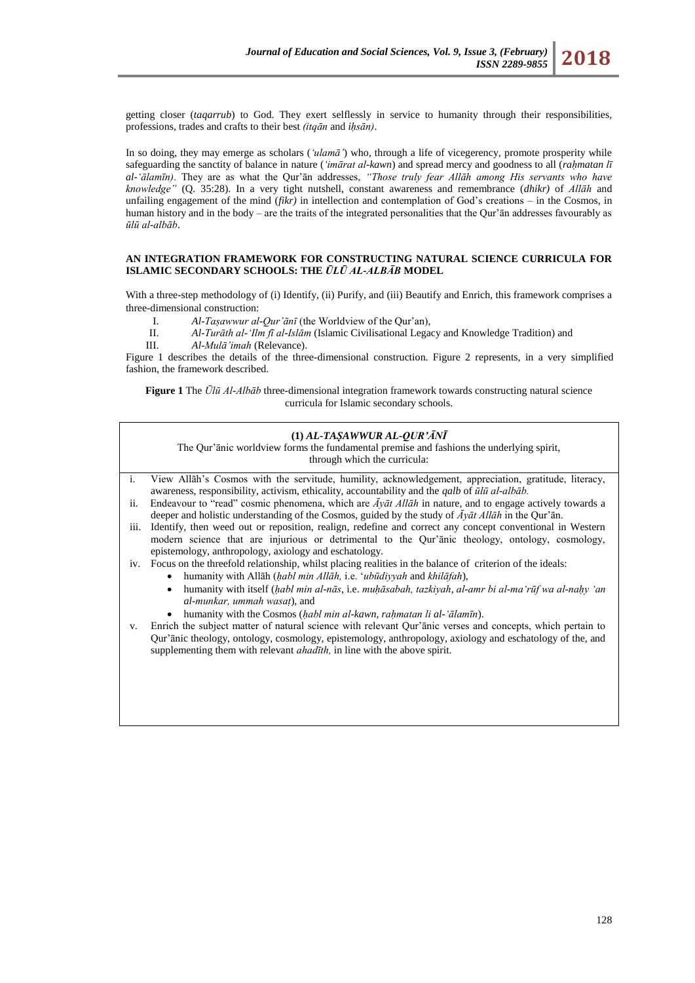getting closer (*taqarrub*) to God. They exert selflessly in service to humanity through their responsibilities, professions, trades and crafts to their best *(itqān* and *iḥsān)*.

In so doing, they may emerge as scholars (*'ulamā'*) who, through a life of vicegerency, promote prosperity while safeguarding the sanctity of balance in nature (*'imārat al-kawn*) and spread mercy and goodness to all (*rahmatan lī al-"ālamīn)*. They are as what the Qur'ān addresses, *"Those truly fear Allāh among His servants who have knowledge"* (Q. 35:28). In a very tight nutshell, constant awareness and remembrance (*dhikr)* of *Allāh* and unfailing engagement of the mind (*fikr)* in intellection and contemplation of God's creations *–* in the Cosmos, in human history and in the body – are the traits of the integrated personalities that the Our'an addresses favourably as *ūlū al-albāb*.

### **AN INTEGRATION FRAMEWORK FOR CONSTRUCTING NATURAL SCIENCE CURRICULA FOR ISLAMIC SECONDARY SCHOOLS: THE** *ŪLŪ AL-ALBĀB* **MODEL**

With a three-step methodology of (i) Identify, (ii) Purify, and (iii) Beautify and Enrich, this framework comprises a three-dimensional construction:

- I. *Al-Taṣawwur al-Qur"ānī* (the Worldview of the Qur'an)*,*
- II. *Al-Turāth al-"Ilm fī al-Islām* (Islamic Civilisational Legacy and Knowledge Tradition) and
- III. *Al-Mulā"imah* (Relevance).

Figure 1 describes the details of the three-dimensional construction. Figure 2 represents, in a very simplified fashion, the framework described.

**Figure 1** The *Ūlū Al-Albāb* three-dimensional integration framework towards constructing natural science curricula for Islamic secondary schools.

#### **(1)** *AL-TAṢAWWUR AL-QUR'ĀNĪ* The Qur'ānic worldview forms the fundamental premise and fashions the underlying spirit,

through which the curricula:

- i. View Allāh's Cosmos with the servitude, humility, acknowledgement, appreciation, gratitude, literacy, awareness, responsibility, activism, ethicality, accountability and the *qalb* of *ūlū al-albāb.*
- ii. Endeavour to "read" cosmic phenomena, which are  $\bar{A}y\bar{a}t$  All $\bar{a}h$  in nature, and to engage actively towards a deeper and holistic understanding of the Cosmos, guided by the study of *Āyāt Allāh* in the Qur'ān.
- iii. Identify, then weed out or reposition, realign, redefine and correct any concept conventional in Western modern science that are injurious or detrimental to the Qur'ānic theology, ontology, cosmology, epistemology, anthropology, axiology and eschatology.
- iv. Focus on the threefold relationship, whilst placing realities in the balance of criterion of the ideals:
	- humanity with Allāh (*ḥabl min Allāh,* i.e. ‗*ubūdiyyah* and *khilāfah*),
	- humanity with itself (*ḥabl min al-nās*, i.e. *muḥāsabah, tazkiyah*, *al-amr bi al-ma"rūf wa al-naḥy "an al-munkar, ummah wasaṭ*), and
	- humanity with the Cosmos (*ḥabl min al-kawn, raḥmatan li al-'ālamīn*).
- v. Enrich the subject matter of natural science with relevant Qur'ānic verses and concepts, which pertain to Qur'ānic theology, ontology, cosmology, epistemology, anthropology, axiology and eschatology of the, and supplementing them with relevant *ahadīth*, in line with the above spirit.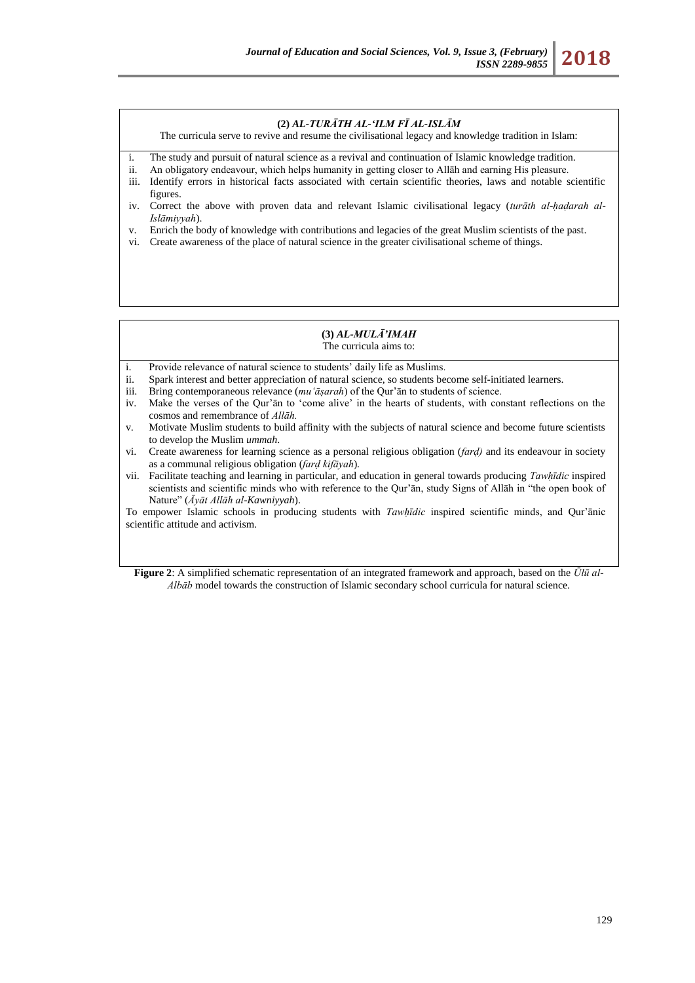### **(2)** *AL-TURĀTH AL-'ILM FĪ AL-ISLĀM*

The curricula serve to revive and resume the civilisational legacy and knowledge tradition in Islam:

- i. The study and pursuit of natural science as a revival and continuation of Islamic knowledge tradition.
- ii. An obligatory endeavour, which helps humanity in getting closer to Allāh and earning His pleasure.
- iii. Identify errors in historical facts associated with certain scientific theories, laws and notable scientific figures.
- iv. Correct the above with proven data and relevant Islamic civilisational legacy (*turāth al-ḥaḍarah al-Islāmiyyah*).
- v. Enrich the body of knowledge with contributions and legacies of the great Muslim scientists of the past.
- vi. Create awareness of the place of natural science in the greater civilisational scheme of things.

#### **(3)** *AL-MULĀ'IMAH* The curricula aims to:

- i. Provide relevance of natural science to students' daily life as Muslims.
- ii. Spark interest and better appreciation of natural science, so students become self-initiated learners.
- iii. Bring contemporaneous relevance (*mu"āṣarah*) of the Qur'ān to students of science.
- iv. Make the verses of the Qur'ān to 'come alive' in the hearts of students, with constant reflections on the cosmos and remembrance of *Allāh.*
- v. Motivate Muslim students to build affinity with the subjects of natural science and become future scientists to develop the Muslim *ummah*.
- vi. Create awareness for learning science as a personal religious obligation (*farḍ)* and its endeavour in society as a communal religious obligation (*farḍ kifāyah*)*.*
- vii. Facilitate teaching and learning in particular, and education in general towards producing *Tawḥīdic* inspired scientists and scientific minds who with reference to the Qur'ān, study Signs of Allāh in "the open book of Nature‖ (*Āyāt Allāh al-Kawniyyah*).

To empower Islamic schools in producing students with *Tawḥīdic* inspired scientific minds, and Qur'ānic scientific attitude and activism.

**Figure 2**: A simplified schematic representation of an integrated framework and approach, based on the *Ūlū al-Albāb* model towards the construction of Islamic secondary school curricula for natural science.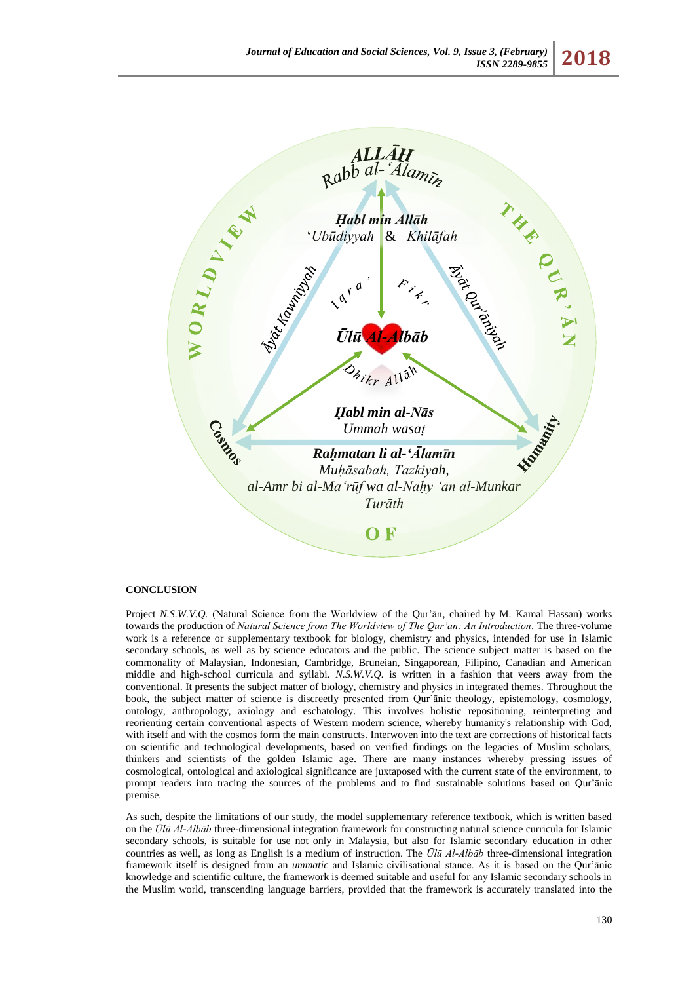

#### **CONCLUSION** approach, based on the *Ūlū al-Albāb* model towards the construction of Islamic

Project *N.S.W.V.Q.* (Natural Science from the Worldview of the Qur'ān, chaired by M. Kamal Hassan) works towards the production of *Natural Science from The Worldview of The Qur"an: An Introduction.* The three-volume work is a reference or supplementary textbook for biology, chemistry and physics, intended for use in Islamic secondary schools, as well as by science educators and the public. The science subject matter is based on the commonality of Malaysian, Indonesian, Cambridge, Bruneian, Singaporean, Filipino, Canadian and American middle and high-school curricula and syllabi. *N.S.W.V.Q.* is written in a fashion that veers away from the conventional. It presents the subject matter of biology, chemistry and physics in integrated themes. Throughout the book, the subject matter of science is discreetly presented from Qur'ānic theology, epistemology, cosmology, ontology, anthropology, axiology and eschatology. This involves holistic repositioning, reinterpreting and reorienting certain conventional aspects of Western modern science, whereby humanity's relationship with God, with itself and with the cosmos form the main constructs. Interwoven into the text are corrections of historical facts on scientific and technological developments, based on verified findings on the legacies of Muslim scholars, thinkers and scientists of the golden Islamic age. There are many instances whereby pressing issues of cosmological, ontological and axiological significance are juxtaposed with the current state of the environment, to prompt readers into tracing the sources of the problems and to find sustainable solutions based on Qur'ānic premise.

As such, despite the limitations of our study, the model supplementary reference textbook, which is written based on the *Ūlū Al-Albāb* three-dimensional integration framework for constructing natural science curricula for Islamic secondary schools, is suitable for use not only in Malaysia, but also for Islamic secondary education in other countries as well, as long as English is a medium of instruction. The *Ūlū Al-Albāb* three-dimensional integration framework itself is designed from an *ummatic* and Islamic civilisational stance. As it is based on the Qur'ānic knowledge and scientific culture, the framework is deemed suitable and useful for any Islamic secondary schools in the Muslim world, transcending language barriers, provided that the framework is accurately translated into the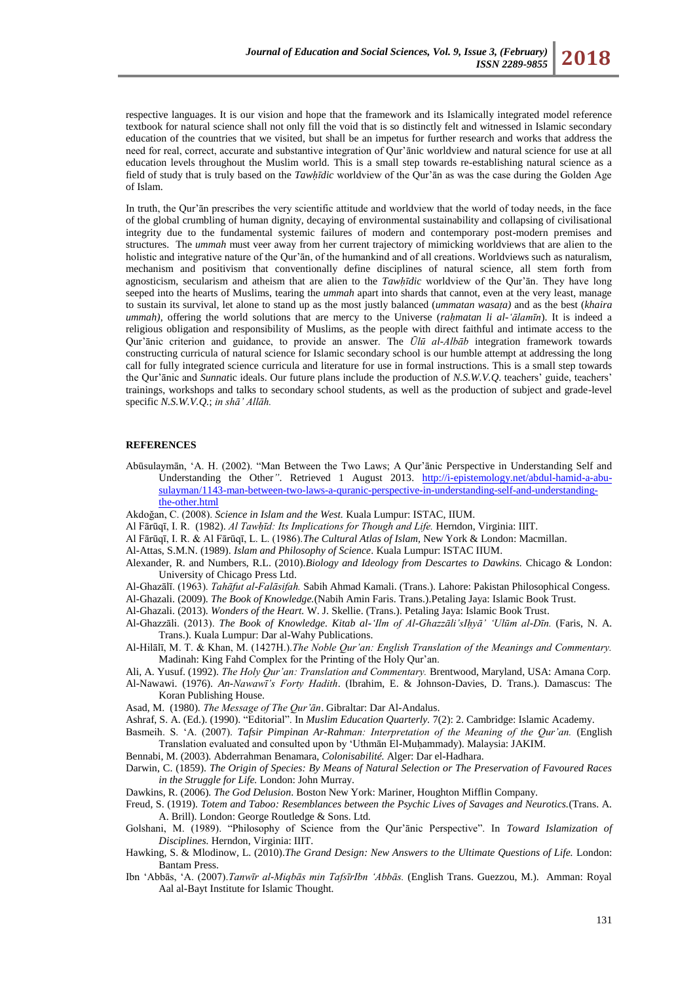respective languages. It is our vision and hope that the framework and its Islamically integrated model reference textbook for natural science shall not only fill the void that is so distinctly felt and witnessed in Islamic secondary education of the countries that we visited, but shall be an impetus for further research and works that address the need for real, correct, accurate and substantive integration of Qur'ānic worldview and natural science for use at all education levels throughout the Muslim world. This is a small step towards re-establishing natural science as a field of study that is truly based on the *Tawḥῑdic* worldview of the Qur'ān as was the case during the Golden Age of Islam.

In truth, the Qur'ān prescribes the very scientific attitude and worldview that the world of today needs, in the face of the global crumbling of human dignity, decaying of environmental sustainability and collapsing of civilisational integrity due to the fundamental systemic failures of modern and contemporary post-modern premises and structures. The *ummah* must veer away from her current trajectory of mimicking worldviews that are alien to the holistic and integrative nature of the Qur'ān, of the humankind and of all creations. Worldviews such as naturalism, mechanism and positivism that conventionally define disciplines of natural science, all stem forth from agnosticism, secularism and atheism that are alien to the *Tawḥῑdic* worldview of the Qur'ān. They have long seeped into the hearts of Muslims, tearing the *ummah* apart into shards that cannot, even at the very least, manage to sustain its survival, let alone to stand up as the most justly balanced (*ummatan wasaṭa)* and as the best (*khaira ummah*), offering the world solutions that are mercy to the Universe (*rahmatan li al-'ālamīn*). It is indeed a religious obligation and responsibility of Muslims, as the people with direct faithful and intimate access to the Qur'ānic criterion and guidance, to provide an answer. The *Ūlū al-Albāb* integration framework towards constructing curricula of natural science for Islamic secondary school is our humble attempt at addressing the long call for fully integrated science curricula and literature for use in formal instructions. This is a small step towards the Qur'ānic and *Sunnat*ic ideals. Our future plans include the production of *N.S.W.V.Q*. teachers' guide, teachers' trainings, workshops and talks to secondary school students, as well as the production of subject and grade-level specific *N.S.W.V.Q.*; *in shā" Allāh.*

### **REFERENCES**

- Abūsulaymān, 'A. H. (2002). "Man Between the Two Laws; A Qur'ānic Perspective in Understanding Self and Understanding the Other*"*. Retrieved 1 August 2013. [http://i-epistemology.net/abdul-hamid-a-abu](http://i-epistemology.net/abdul-hamid-a-abu-sulayman/1143-man-between-two-laws-a-quranic-perspective-in-understanding-self-and-understanding-the-other.html)[sulayman/1143-man-between-two-laws-a-quranic-perspective-in-understanding-self-and-understanding](http://i-epistemology.net/abdul-hamid-a-abu-sulayman/1143-man-between-two-laws-a-quranic-perspective-in-understanding-self-and-understanding-the-other.html)[the-other.html](http://i-epistemology.net/abdul-hamid-a-abu-sulayman/1143-man-between-two-laws-a-quranic-perspective-in-understanding-self-and-understanding-the-other.html)
- Akdoğan, C. (2008). *Science in Islam and the West.* Kuala Lumpur: ISTAC, IIUM.
- Al Fārūqī, I. R. (1982). *Al Tawḥīd: Its Implications for Though and ife.* Herndon, Virginia: IIIT.
- Al Fārūqī, I. R. & Al Fārūqī, L. L. (1986).*The Cultural Atlas of Islam,* New York & London: Macmillan.
- Al-Attas, S.M.N. (1989). *Islam and Philosophy of Science*. Kuala Lumpur: ISTAC IIUM.
- Alexander, R. and Numbers, R.L. (2010).*Biology and Ideology from Descartes to Dawkins.* Chicago & London: University of Chicago Press Ltd.
- Al-Ghazālī. (1963). *Tahāfut al-Falāsifah.* Sabih Ahmad Kamali. (Trans.). Lahore: Pakistan Philosophical Congess.
- Al-Ghazali. (2009). *The Book of Knowledge.*(Nabih Amin Faris. Trans.).Petaling Jaya: Islamic Book Trust.
- Al-Ghazali. (2013). *Wonders of the Heart.* W. J. Skellie. (Trans.). Petaling Jaya: Islamic Book Trust.
- Al-Ghazzāli. (2013). *The Book of Knowledge. Kitab al-"Ilm of Al-Ghazzāli"sIḥyā" "Ulūm al-Dīn.* (Faris, N. A. Trans.). Kuala Lumpur: Dar al-Wahy Publications.
- Al-Hilālī, M. T. & Khan, M. (1427H.).*The Noble Qur"an: English Translation of the Meanings and Commentary.*  Madinah: King Fahd Complex for the Printing of the Holy Qur'an.
- Ali, A. Yusuf. (1992). *The Holy Qur"an: Translation and Commentary.* Brentwood, Maryland, USA: Amana Corp.
- Al-Nawawi. (1976). *An-Nawawī"s Forty Hadith*. (Ibrahim, E. & Johnson-Davies, D. Trans.). Damascus: The Koran Publishing House.
- Asad, M. (1980). *The Message of The Qur"ān*. Gibraltar: Dar Al-Andalus.
- Ashraf, S. A. (Ed.). (1990). "Editorial". In *Muslim Education Quarterly.* 7(2): 2. Cambridge: Islamic Academy.

Basmeih. S. ‗A. (2007). *Tafsir Pimpinan Ar-Rahman: Interpretation of the Meaning of the Qur"an.* (English Translation evaluated and consulted upon by ‗Uthmān El-Muḥammady). Malaysia: JAKIM.

Bennabi, M. (2003). Abderrahman Benamara, *Colonisabilité.* Alger: Dar el-Hadhara.

Darwin, C. (1859). *The Origin of Species: By Means of Natural Selection or The Preservation of Favoured Races in the Struggle for Life.* London: John Murray.

Dawkins, R. (2006). *The God Delusion*. Boston New York: Mariner, Houghton Mifflin Company.

- Freud, S. (1919). *Totem and Taboo: Resemblances between the Psychic Lives of Savages and Neurotics.*(Trans. A. A. Brill). London: George Routledge & Sons. Ltd.
- Golshani, M. (1989). "Philosophy of Science from the Qur'anic Perspective". In *Toward Islamization of Disciplines.* Herndon, Virginia: IIIT.
- Hawking, S. & Mlodinow, L. (2010).*The Grand Design: New Answers to the Ultimate Questions of Life.* London: Bantam Press.
- Ibn ‗Abbās, ‗A. (2007).*Tanwīr al-Miqbās min TafsīrIbn "Abbās.* (English Trans. Guezzou, M.). Amman: Royal Aal al-Bayt Institute for Islamic Thought.